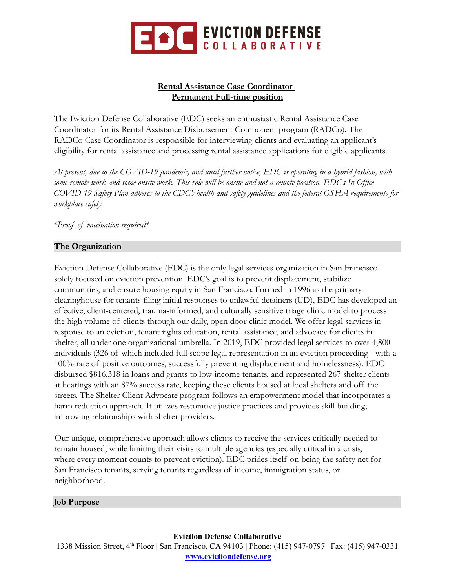

# **Rental Assistance Case Coordinator Permanent Full-time position**

The Eviction Defense Collaborative (EDC) seeks an enthusiastic Rental Assistance Case Coordinator for its Rental Assistance Disbursement Component program (RADCo). The RADCo Case Coordinator is responsible for interviewing clients and evaluating an applicant's eligibility for rental assistance and processing rental assistance applications for eligible applicants.

*At present, due to the COVID-19 pandemic, and until further notice, EDC is operating in a hybrid fashion, with some remote work and some onsite work. This role will be onsite and not a remote position. EDC's In Office COVID-19 Safety Plan adheres to the CDC's health and safety guidelines and the federal OSHA requirements for workplace safety.*

*\*Proof of vaccination required\**

# **The Organization**

Eviction Defense Collaborative (EDC) is the only legal services organization in San Francisco solely focused on eviction prevention. EDC's goal is to prevent displacement, stabilize communities, and ensure housing equity in San Francisco. Formed in 1996 as the primary clearinghouse for tenants filing initial responses to unlawful detainers (UD), EDC has developed an effective, client-centered, trauma-informed, and culturally sensitive triage clinic model to process the high volume of clients through our daily, open door clinic model. We offer legal services in response to an eviction, tenant rights education, rental assistance, and advocacy for clients in shelter, all under one organizational umbrella. In 2019, EDC provided legal services to over 4,800 individuals (326 of which included full scope legal representation in an eviction proceeding - with a 100% rate of positive outcomes, successfully preventing displacement and homelessness). EDC disbursed \$816,318 in loans and grants to low-income tenants, and represented 267 shelter clients at hearings with an 87% success rate, keeping these clients housed at local shelters and off the streets. The Shelter Client Advocate program follows an empowerment model that incorporates a harm reduction approach. It utilizes restorative justice practices and provides skill building, improving relationships with shelter providers.

Our unique, comprehensive approach allows clients to receive the services critically needed to remain housed, while limiting their visits to multiple agencies (especially critical in a crisis, where every moment counts to prevent eviction). EDC prides itself on being the safety net for San Francisco tenants, serving tenants regardless of income, immigration status, or neighborhood.

## **Job Purpose**

**Eviction Defense Collaborative**

1338 Mission Street, 4<sup>th</sup> Floor | San Francisco, CA 94103 | Phone: (415) 947-0797 | Fax: (415) 947-0331 |**[www.evictiondefense.org](http://www.evictiondefense.org)**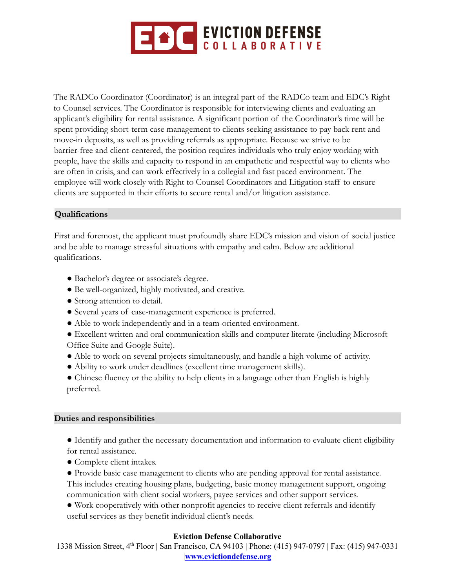

The RADCo Coordinator (Coordinator) is an integral part of the RADCo team and EDC's Right to Counsel services. The Coordinator is responsible for interviewing clients and evaluating an applicant's eligibility for rental assistance. A significant portion of the Coordinator's time will be spent providing short-term case management to clients seeking assistance to pay back rent and move-in deposits, as well as providing referrals as appropriate. Because we strive to be barrier-free and client-centered, the position requires individuals who truly enjoy working with people, have the skills and capacity to respond in an empathetic and respectful way to clients who are often in crisis, and can work effectively in a collegial and fast paced environment. The employee will work closely with Right to Counsel Coordinators and Litigation staff to ensure clients are supported in their efforts to secure rental and/or litigation assistance.

# **Qualifications**

First and foremost, the applicant must profoundly share EDC's mission and vision of social justice and be able to manage stressful situations with empathy and calm. Below are additional qualifications.

- Bachelor's degree or associate's degree.
- Be well-organized, highly motivated, and creative.
- Strong attention to detail.
- Several years of case-management experience is preferred.
- Able to work independently and in a team-oriented environment.
- Excellent written and oral communication skills and computer literate (including Microsoft Office Suite and Google Suite).
- Able to work on several projects simultaneously, and handle a high volume of activity.
- Ability to work under deadlines (excellent time management skills).
- Chinese fluency or the ability to help clients in a language other than English is highly preferred.

## **Duties and responsibilities**

- Identify and gather the necessary documentation and information to evaluate client eligibility for rental assistance.
- Complete client intakes.
- Provide basic case management to clients who are pending approval for rental assistance. This includes creating housing plans, budgeting, basic money management support, ongoing communication with client social workers, payee services and other support services.
- Work cooperatively with other nonprofit agencies to receive client referrals and identify useful services as they benefit individual client's needs.

## **Eviction Defense Collaborative**

1338 Mission Street, 4<sup>th</sup> Floor | San Francisco, CA 94103 | Phone: (415) 947-0797 | Fax: (415) 947-0331 |**[www.evictiondefense.org](http://www.evictiondefense.org)**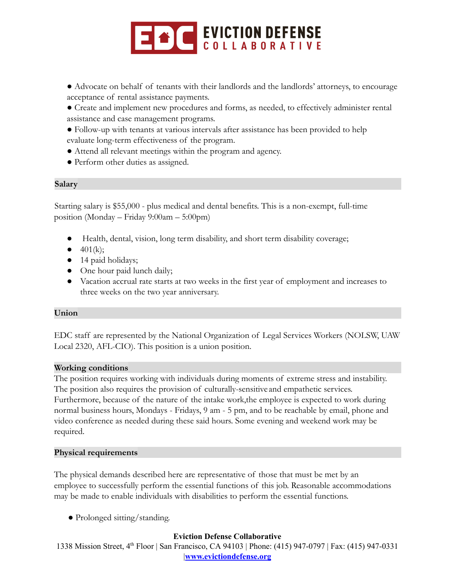

- Advocate on behalf of tenants with their landlords and the landlords' attorneys, to encourage acceptance of rental assistance payments.
- Create and implement new procedures and forms, as needed, to effectively administer rental assistance and case management programs.
- Follow-up with tenants at various intervals after assistance has been provided to help evaluate long-term effectiveness of the program.
- Attend all relevant meetings within the program and agency.
- Perform other duties as assigned.

## **Salary**

Starting salary is \$55,000 - plus medical and dental benefits. This is a non-exempt, full-time position (Monday – Friday 9:00am – 5:00pm)

- Health, dental, vision, long term disability, and short term disability coverage;
- $\bullet$  401(k);
- 14 paid holidays;
- One hour paid lunch daily;
- Vacation accrual rate starts at two weeks in the first year of employment and increases to three weeks on the two year anniversary.

## **Union**

EDC staff are represented by the National Organization of Legal Services Workers (NOLSW, UAW Local 2320, AFL-CIO). This position is a union position.

#### **Working conditions**

The position requires working with individuals during moments of extreme stress and instability. The position also requires the provision of culturally-sensitive and empathetic services. Furthermore, because of the nature of the intake work,the employee is expected to work during normal business hours, Mondays - Fridays, 9 am - 5 pm, and to be reachable by email, phone and video conference as needed during these said hours. Some evening and weekend work may be required.

#### **Physical requirements**

The physical demands described here are representative of those that must be met by an employee to successfully perform the essential functions of this job. Reasonable accommodations may be made to enable individuals with disabilities to perform the essential functions.

● Prolonged sitting/standing.

## **Eviction Defense Collaborative**

1338 Mission Street, 4<sup>th</sup> Floor | San Francisco, CA 94103 | Phone: (415) 947-0797 | Fax: (415) 947-0331 |**[www.evictiondefense.org](http://www.evictiondefense.org)**